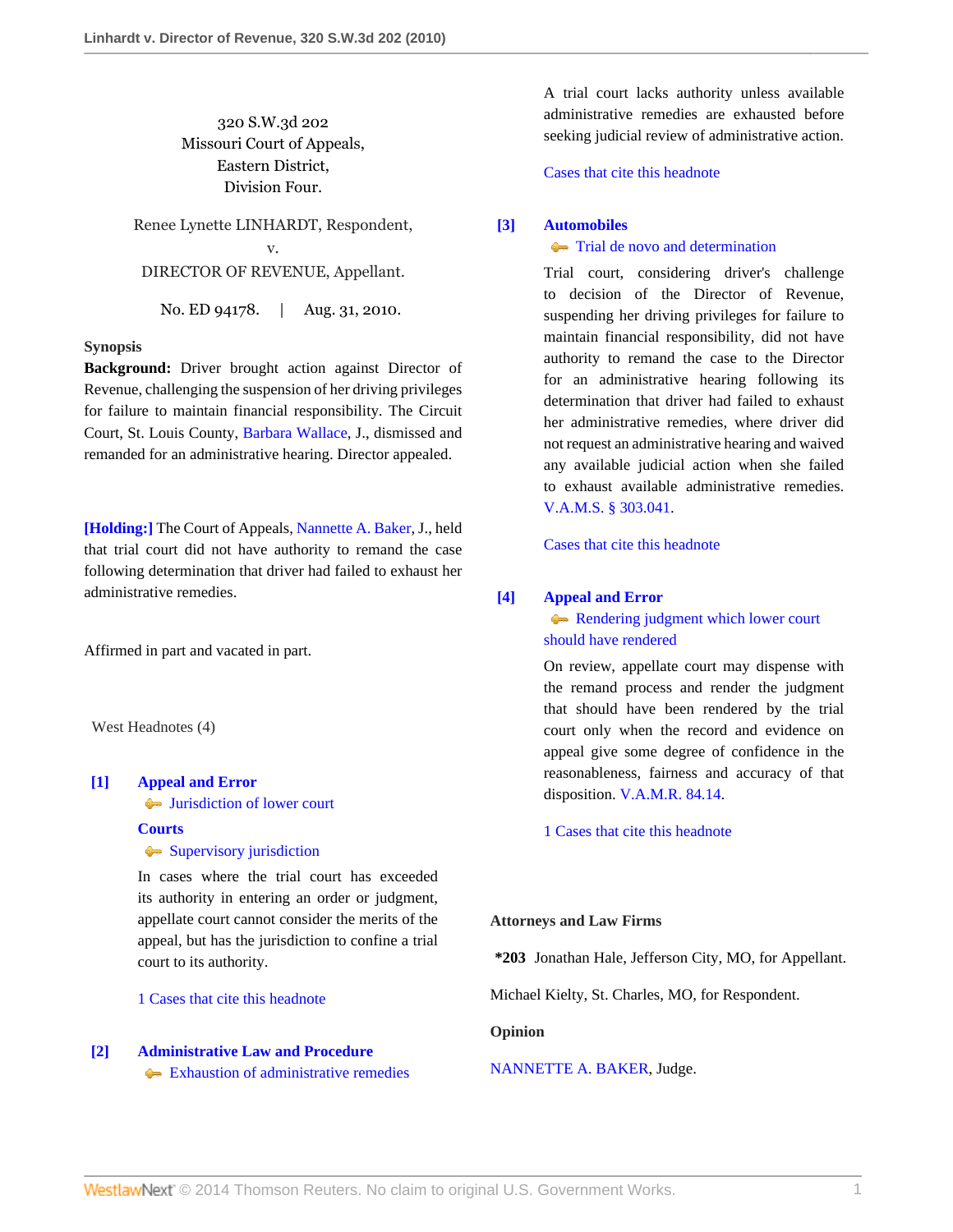## 320 S.W.3d 202 Missouri Court of Appeals, Eastern District, Division Four.

Renee Lynette LINHARDT, Respondent, v. DIRECTOR OF REVENUE, Appellant.

No. ED 94178. | Aug. 31, 2010.

## **Synopsis**

**Background:** Driver brought action against Director of Revenue, challenging the suspension of her driving privileges for failure to maintain financial responsibility. The Circuit Court, St. Louis County, [Barbara Wallace](http://www.westlaw.com/Link/Document/FullText?findType=h&pubNum=176284&cite=0142892301&originatingDoc=Ic3cce1cdb4ec11df8228ac372eb82649&refType=RQ&originationContext=document&vr=3.0&rs=cblt1.0&transitionType=DocumentItem&contextData=(sc.Search)), J., dismissed and remanded for an administrative hearing. Director appealed.

**[\[Holding:\]](#page-0-0)** The Court of Appeals, [Nannette A. Baker](http://www.westlaw.com/Link/Document/FullText?findType=h&pubNum=176284&cite=0223366501&originatingDoc=Ic3cce1cdb4ec11df8228ac372eb82649&refType=RQ&originationContext=document&vr=3.0&rs=cblt1.0&transitionType=DocumentItem&contextData=(sc.Search)), J., held that trial court did not have authority to remand the case following determination that driver had failed to exhaust her administrative remedies.

Affirmed in part and vacated in part.

West Headnotes (4)

#### <span id="page-0-1"></span>**[\[1\]](#page-1-0) [Appeal and Error](http://www.westlaw.com/Browse/Home/KeyNumber/30/View.html?docGuid=Ic3cce1cdb4ec11df8228ac372eb82649&originationContext=document&vr=3.0&rs=cblt1.0&transitionType=DocumentItem&contextData=(sc.Search))**

[Jurisdiction of lower court](http://www.westlaw.com/Browse/Home/KeyNumber/30k20/View.html?docGuid=Ic3cce1cdb4ec11df8228ac372eb82649&originationContext=document&vr=3.0&rs=cblt1.0&transitionType=DocumentItem&contextData=(sc.Search))

#### **[Courts](http://www.westlaw.com/Browse/Home/KeyNumber/106/View.html?docGuid=Ic3cce1cdb4ec11df8228ac372eb82649&originationContext=document&vr=3.0&rs=cblt1.0&transitionType=DocumentItem&contextData=(sc.Search))**

[Supervisory jurisdiction](http://www.westlaw.com/Browse/Home/KeyNumber/106k204/View.html?docGuid=Ic3cce1cdb4ec11df8228ac372eb82649&originationContext=document&vr=3.0&rs=cblt1.0&transitionType=DocumentItem&contextData=(sc.Search))

In cases where the trial court has exceeded its authority in entering an order or judgment, appellate court cannot consider the merits of the appeal, but has the jurisdiction to confine a trial court to its authority.

[1 Cases that cite this headnote](http://www.westlaw.com/Link/RelatedInformation/DocHeadnoteLink?docGuid=Ic3cce1cdb4ec11df8228ac372eb82649&headnoteId=202288266300120101210150906&originationContext=document&vr=3.0&rs=cblt1.0&transitionType=CitingReferences&contextData=(sc.Search))

# <span id="page-0-2"></span>**[\[2\]](#page-1-1) [Administrative Law and Procedure](http://www.westlaw.com/Browse/Home/KeyNumber/15A/View.html?docGuid=Ic3cce1cdb4ec11df8228ac372eb82649&originationContext=document&vr=3.0&rs=cblt1.0&transitionType=DocumentItem&contextData=(sc.Search))**

[Exhaustion of administrative remedies](http://www.westlaw.com/Browse/Home/KeyNumber/15Ak229/View.html?docGuid=Ic3cce1cdb4ec11df8228ac372eb82649&originationContext=document&vr=3.0&rs=cblt1.0&transitionType=DocumentItem&contextData=(sc.Search))

A trial court lacks authority unless available administrative remedies are exhausted before seeking judicial review of administrative action.

[Cases that cite this headnote](http://www.westlaw.com/Link/RelatedInformation/DocHeadnoteLink?docGuid=Ic3cce1cdb4ec11df8228ac372eb82649&headnoteId=202288266300220101210150906&originationContext=document&vr=3.0&rs=cblt1.0&transitionType=CitingReferences&contextData=(sc.Search))

#### <span id="page-0-0"></span>**[\[3\]](#page-1-2) [Automobiles](http://www.westlaw.com/Browse/Home/KeyNumber/48A/View.html?docGuid=Ic3cce1cdb4ec11df8228ac372eb82649&originationContext=document&vr=3.0&rs=cblt1.0&transitionType=DocumentItem&contextData=(sc.Search))**

### **[Trial de novo and determination](http://www.westlaw.com/Browse/Home/KeyNumber/48Ak144.2(4)/View.html?docGuid=Ic3cce1cdb4ec11df8228ac372eb82649&originationContext=document&vr=3.0&rs=cblt1.0&transitionType=DocumentItem&contextData=(sc.Search))**

Trial court, considering driver's challenge to decision of the Director of Revenue, suspending her driving privileges for failure to maintain financial responsibility, did not have authority to remand the case to the Director for an administrative hearing following its determination that driver had failed to exhaust her administrative remedies, where driver did not request an administrative hearing and waived any available judicial action when she failed to exhaust available administrative remedies. [V.A.M.S. § 303.041.](http://www.westlaw.com/Link/Document/FullText?findType=L&pubNum=1000229&cite=MOST303.041&originatingDoc=Ic3cce1cdb4ec11df8228ac372eb82649&refType=LQ&originationContext=document&vr=3.0&rs=cblt1.0&transitionType=DocumentItem&contextData=(sc.Search))

[Cases that cite this headnote](http://www.westlaw.com/Link/RelatedInformation/DocHeadnoteLink?docGuid=Ic3cce1cdb4ec11df8228ac372eb82649&headnoteId=202288266300320101210150906&originationContext=document&vr=3.0&rs=cblt1.0&transitionType=CitingReferences&contextData=(sc.Search))

## <span id="page-0-3"></span>**[\[4\]](#page-1-3) [Appeal and Error](http://www.westlaw.com/Browse/Home/KeyNumber/30/View.html?docGuid=Ic3cce1cdb4ec11df8228ac372eb82649&originationContext=document&vr=3.0&rs=cblt1.0&transitionType=DocumentItem&contextData=(sc.Search))**

[Rendering judgment which lower court](http://www.westlaw.com/Browse/Home/KeyNumber/30k1153/View.html?docGuid=Ic3cce1cdb4ec11df8228ac372eb82649&originationContext=document&vr=3.0&rs=cblt1.0&transitionType=DocumentItem&contextData=(sc.Search)) [should have rendered](http://www.westlaw.com/Browse/Home/KeyNumber/30k1153/View.html?docGuid=Ic3cce1cdb4ec11df8228ac372eb82649&originationContext=document&vr=3.0&rs=cblt1.0&transitionType=DocumentItem&contextData=(sc.Search))

On review, appellate court may dispense with the remand process and render the judgment that should have been rendered by the trial court only when the record and evidence on appeal give some degree of confidence in the reasonableness, fairness and accuracy of that disposition. [V.A.M.R. 84.14](http://www.westlaw.com/Link/Document/FullText?findType=L&pubNum=1005871&cite=MORRCPR84.14&originatingDoc=Ic3cce1cdb4ec11df8228ac372eb82649&refType=LQ&originationContext=document&vr=3.0&rs=cblt1.0&transitionType=DocumentItem&contextData=(sc.Search)).

[1 Cases that cite this headnote](http://www.westlaw.com/Link/RelatedInformation/DocHeadnoteLink?docGuid=Ic3cce1cdb4ec11df8228ac372eb82649&headnoteId=202288266300420101210150906&originationContext=document&vr=3.0&rs=cblt1.0&transitionType=CitingReferences&contextData=(sc.Search))

## **Attorneys and Law Firms**

**\*203** Jonathan Hale, Jefferson City, MO, for Appellant.

Michael Kielty, St. Charles, MO, for Respondent.

**Opinion**

## [NANNETTE A. BAKER,](http://www.westlaw.com/Link/Document/FullText?findType=h&pubNum=176284&cite=0223366501&originatingDoc=Ic3cce1cdb4ec11df8228ac372eb82649&refType=RQ&originationContext=document&vr=3.0&rs=cblt1.0&transitionType=DocumentItem&contextData=(sc.Search)) Judge.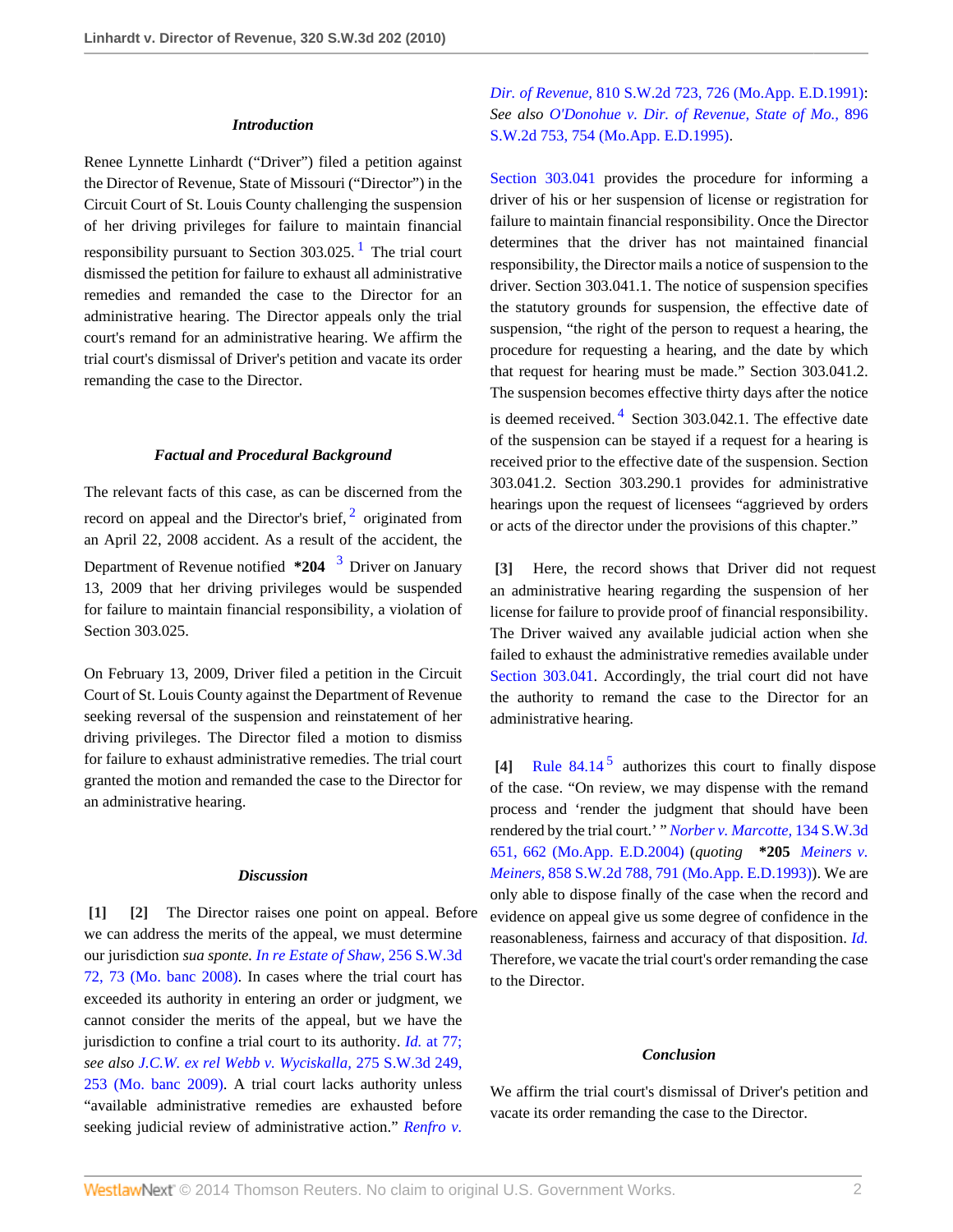#### *Introduction*

Renee Lynnette Linhardt ("Driver") filed a petition against the Director of Revenue, State of Missouri ("Director") in the Circuit Court of St. Louis County challenging the suspension of her driving privileges for failure to maintain financial responsibility pursuant to Section 303.025.<sup>[1](#page-2-0)</sup> The trial court dismissed the petition for failure to exhaust all administrative remedies and remanded the case to the Director for an administrative hearing. The Director appeals only the trial court's remand for an administrative hearing. We affirm the trial court's dismissal of Driver's petition and vacate its order remanding the case to the Director.

#### *Factual and Procedural Background*

The relevant facts of this case, as can be discerned from the record on appeal and the Director's brief,  $2$  originated from an April 22, 2008 accident. As a result of the accident, the Department of Revenue notified **\*204** [3](#page-2-2) Driver on January 13, 2009 that her driving privileges would be suspended for failure to maintain financial responsibility, a violation of Section 303.025.

On February 13, 2009, Driver filed a petition in the Circuit Court of St. Louis County against the Department of Revenue seeking reversal of the suspension and reinstatement of her driving privileges. The Director filed a motion to dismiss for failure to exhaust administrative remedies. The trial court granted the motion and remanded the case to the Director for an administrative hearing.

#### *Discussion*

<span id="page-1-1"></span><span id="page-1-0"></span>**[\[1\]](#page-0-1) [\[2\]](#page-0-2)** The Director raises one point on appeal. Before we can address the merits of the appeal, we must determine our jurisdiction *sua sponte. [In re Estate of Shaw,](http://www.westlaw.com/Link/Document/FullText?findType=Y&serNum=2016374917&pubNum=4644&fi=co_pp_sp_4644_73&originationContext=document&vr=3.0&rs=cblt1.0&transitionType=DocumentItem&contextData=(sc.Search)#co_pp_sp_4644_73)* 256 S.W.3d [72, 73 \(Mo. banc 2008\).](http://www.westlaw.com/Link/Document/FullText?findType=Y&serNum=2016374917&pubNum=4644&fi=co_pp_sp_4644_73&originationContext=document&vr=3.0&rs=cblt1.0&transitionType=DocumentItem&contextData=(sc.Search)#co_pp_sp_4644_73) In cases where the trial court has exceeded its authority in entering an order or judgment, we cannot consider the merits of the appeal, but we have the jurisdiction to confine a trial court to its authority. *Id.* [at 77;](http://www.westlaw.com/Link/Document/FullText?findType=Y&serNum=2016374917&originationContext=document&vr=3.0&rs=cblt1.0&transitionType=DocumentItem&contextData=(sc.Search)) *see also [J.C.W. ex rel Webb v. Wyciskalla,](http://www.westlaw.com/Link/Document/FullText?findType=Y&serNum=2017960273&pubNum=4644&fi=co_pp_sp_4644_253&originationContext=document&vr=3.0&rs=cblt1.0&transitionType=DocumentItem&contextData=(sc.Search)#co_pp_sp_4644_253)* 275 S.W.3d 249, [253 \(Mo. banc 2009\).](http://www.westlaw.com/Link/Document/FullText?findType=Y&serNum=2017960273&pubNum=4644&fi=co_pp_sp_4644_253&originationContext=document&vr=3.0&rs=cblt1.0&transitionType=DocumentItem&contextData=(sc.Search)#co_pp_sp_4644_253) A trial court lacks authority unless "available administrative remedies are exhausted before seeking judicial review of administrative action." *[Renfro v.](http://www.westlaw.com/Link/Document/FullText?findType=Y&serNum=1991111439&pubNum=713&fi=co_pp_sp_713_726&originationContext=document&vr=3.0&rs=cblt1.0&transitionType=DocumentItem&contextData=(sc.Search)#co_pp_sp_713_726)*

*Dir. of Revenue,* [810 S.W.2d 723, 726 \(Mo.App. E.D.1991\)](http://www.westlaw.com/Link/Document/FullText?findType=Y&serNum=1991111439&pubNum=713&fi=co_pp_sp_713_726&originationContext=document&vr=3.0&rs=cblt1.0&transitionType=DocumentItem&contextData=(sc.Search)#co_pp_sp_713_726): *See also [O'Donohue v. Dir. of Revenue, State of Mo.,](http://www.westlaw.com/Link/Document/FullText?findType=Y&serNum=1995096287&pubNum=713&fi=co_pp_sp_713_754&originationContext=document&vr=3.0&rs=cblt1.0&transitionType=DocumentItem&contextData=(sc.Search)#co_pp_sp_713_754)* 896 [S.W.2d 753, 754 \(Mo.App. E.D.1995\).](http://www.westlaw.com/Link/Document/FullText?findType=Y&serNum=1995096287&pubNum=713&fi=co_pp_sp_713_754&originationContext=document&vr=3.0&rs=cblt1.0&transitionType=DocumentItem&contextData=(sc.Search)#co_pp_sp_713_754)

<span id="page-1-4"></span>[Section 303.041](http://www.westlaw.com/Link/Document/FullText?findType=L&pubNum=1000229&cite=MOST303.041&originatingDoc=Ic3cce1cdb4ec11df8228ac372eb82649&refType=LQ&originationContext=document&vr=3.0&rs=cblt1.0&transitionType=DocumentItem&contextData=(sc.Search)) provides the procedure for informing a driver of his or her suspension of license or registration for failure to maintain financial responsibility. Once the Director determines that the driver has not maintained financial responsibility, the Director mails a notice of suspension to the driver. Section 303.041.1. The notice of suspension specifies the statutory grounds for suspension, the effective date of suspension, "the right of the person to request a hearing, the procedure for requesting a hearing, and the date by which that request for hearing must be made." Section 303.041.2. The suspension becomes effective thirty days after the notice is deemed received. $4$  Section 303.042.1. The effective date of the suspension can be stayed if a request for a hearing is received prior to the effective date of the suspension. Section 303.041.2. Section 303.290.1 provides for administrative hearings upon the request of licensees "aggrieved by orders

<span id="page-1-6"></span><span id="page-1-2"></span>**[\[3\]](#page-0-0)** Here, the record shows that Driver did not request an administrative hearing regarding the suspension of her license for failure to provide proof of financial responsibility. The Driver waived any available judicial action when she failed to exhaust the administrative remedies available under [Section 303.041.](http://www.westlaw.com/Link/Document/FullText?findType=L&pubNum=1000229&cite=MOST303.041&originatingDoc=Ic3cce1cdb4ec11df8228ac372eb82649&refType=LQ&originationContext=document&vr=3.0&rs=cblt1.0&transitionType=DocumentItem&contextData=(sc.Search)) Accordingly, the trial court did not have the authority to remand the case to the Director for an administrative hearing.

<span id="page-1-7"></span><span id="page-1-5"></span>or acts of the director under the provisions of this chapter."

<span id="page-1-8"></span><span id="page-1-3"></span>[\[4\]](#page-0-3) [Rule 84.14](http://www.westlaw.com/Link/Document/FullText?findType=L&pubNum=1005871&cite=MORRCPR84.14&originatingDoc=Ic3cce1cdb4ec11df8228ac372eb82649&refType=LQ&originationContext=document&vr=3.0&rs=cblt1.0&transitionType=DocumentItem&contextData=(sc.Search))<sup>[5](#page-2-4)</sup> authorizes this court to finally dispose of the case. "On review, we may dispense with the remand process and 'render the judgment that should have been rendered by the trial court.' " *[Norber v. Marcotte,](http://www.westlaw.com/Link/Document/FullText?findType=Y&serNum=2004192079&pubNum=4644&fi=co_pp_sp_4644_662&originationContext=document&vr=3.0&rs=cblt1.0&transitionType=DocumentItem&contextData=(sc.Search)#co_pp_sp_4644_662)* 134 S.W.3d [651, 662 \(Mo.App. E.D.2004\)](http://www.westlaw.com/Link/Document/FullText?findType=Y&serNum=2004192079&pubNum=4644&fi=co_pp_sp_4644_662&originationContext=document&vr=3.0&rs=cblt1.0&transitionType=DocumentItem&contextData=(sc.Search)#co_pp_sp_4644_662) (*quoting* **\*205** *[Meiners v.](http://www.westlaw.com/Link/Document/FullText?findType=Y&serNum=1993150371&pubNum=713&fi=co_pp_sp_713_791&originationContext=document&vr=3.0&rs=cblt1.0&transitionType=DocumentItem&contextData=(sc.Search)#co_pp_sp_713_791) Meiners,* [858 S.W.2d 788, 791 \(Mo.App. E.D.1993\)\)](http://www.westlaw.com/Link/Document/FullText?findType=Y&serNum=1993150371&pubNum=713&fi=co_pp_sp_713_791&originationContext=document&vr=3.0&rs=cblt1.0&transitionType=DocumentItem&contextData=(sc.Search)#co_pp_sp_713_791). We are only able to dispose finally of the case when the record and evidence on appeal give us some degree of confidence in the reasonableness, fairness and accuracy of that disposition. *[Id.](http://www.westlaw.com/Link/Document/FullText?findType=Y&serNum=2004192079&originationContext=document&vr=3.0&rs=cblt1.0&transitionType=DocumentItem&contextData=(sc.Search))* Therefore, we vacate the trial court's order remanding the case to the Director.

#### *Conclusion*

We affirm the trial court's dismissal of Driver's petition and vacate its order remanding the case to the Director.